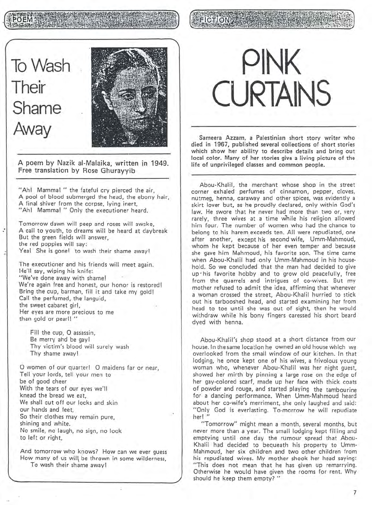## **PINK CURTAINS**

Sameera Azzam, a Palestinian short story writer who died in 1967, published several collections of short stories which show her ability to describe details and bring out local color. Many of her stories give a living picture of the life of unprivileged classes and common people.

Abou·Khalil, the merchant whose shop in the street corner exhaled perfumes of cinnamon, pepper, cloves, nutmeg, henna, caraway and other spices, was evidently a skirt lover but, as he proudly declared, only within God's law. He swore that he never had more than two or, very rarely, three wives at a time While his religion allowed him four. The number of women who had the chance to belong to his harem exceeds ten. All were repudiated, one after another, except his second wife, Umm-Mahmoud, whom he kept because of her even temper and because she gave him Mahmoud, his favorite son. The time came when Abou·Khalil had only Umm-Mahmoud in his household. So we concluded that the man had decided to give UP' his favorite hobby and to grow old peacefully, free from the quarrels and intrigues of co-wives. But my mother refused to admit the idea, affirming that whenever a woman crossed the street, Abou-Khalil hurried to stick out his tarbooshed head, and started examining her from head to toe until she was out of sight, then he would withdraw while his bony fingers caressed his short beard dyed with henna.

Abou-Khalil's shop stood at a short distance from our house. In the same location he owned an old house which we overlooked from the small window of our kitchen. In that lodging, he once kept one of his wives, a frivolous young woman who, whenever Abou-Khalil was her night guest, showed her mirth by pinning a large rose on the edge of her gay-colored scarf, made up her face with thick coats of powder and rouge, and started playing the tambourine for a dancing performance. When Umm-Mahmoud heard about her co-wife's merriment, she only laughed and said: "Only God is everlasting. To-morrow he will repudiate her!"

"Tomorrow" might mean a month, several months, but never more than a year. The small lodging kept filling and emptying until one day the rumour spread that Abou-Khalil had decided to bequeath his property to Umm-Mahmoud, her six children and two other children from his repudiated wives. My mother shook her head saying: "This does not mean that he has given up remarrying. Otherwise he would have given the rooms for rent. Why should he keep them empty? "